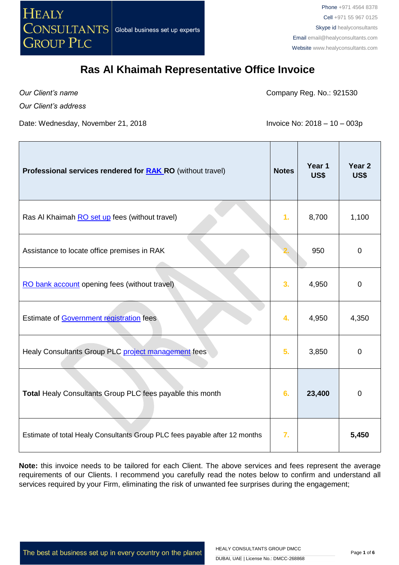

*Our Client's name*

Company Reg. No.: 921530

*Our Client's address*

Date: Wednesday, November 21, 2018 **Invoice No: 2018 - 10 - 003p** 

| Professional services rendered for <b>RAK RO</b> (without travel)          | <b>Notes</b> | Year 1<br>US\$ | Year <sub>2</sub><br>US\$ |
|----------------------------------------------------------------------------|--------------|----------------|---------------------------|
| Ras Al Khaimah RO set up fees (without travel)                             | 1.           | 8,700          | 1,100                     |
| Assistance to locate office premises in RAK                                |              | 950            | $\mathbf 0$               |
| RO bank account opening fees (without travel)                              | 3.           | 4,950          | $\mathbf 0$               |
| Estimate of Government registration fees                                   | 4.           | 4,950          | 4,350                     |
| Healy Consultants Group PLC project management fees                        | 5.           | 3,850          | $\mathbf 0$               |
| Total Healy Consultants Group PLC fees payable this month                  | 6.           | 23,400         | $\mathbf 0$               |
| Estimate of total Healy Consultants Group PLC fees payable after 12 months | 7.           |                | 5,450                     |

**Note:** this invoice needs to be tailored for each Client. The above services and fees represent the average requirements of our Clients. I recommend you carefully read the notes below to confirm and understand all services required by your Firm, eliminating the risk of unwanted fee surprises during the engagement;

The best at business set up in every country on the planet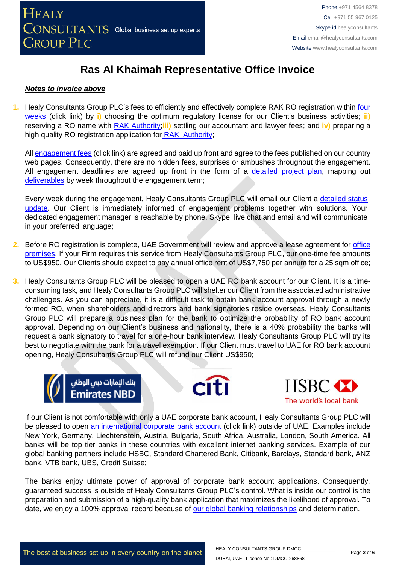

#### *Notes to invoice above*

**1.** Healy Consultants Group PLC's fees to efficiently and effectively complete RAK RO registration within [four](http://www.healyconsultants.com/ras-al-khaimah-free-zone/fees-timelines/#timelines)  [weeks](http://www.healyconsultants.com/ras-al-khaimah-free-zone/fees-timelines/#timelines) (click link) by **i)** choosing the optimum regulatory license for our Client's business activities; **ii)** reserving a RO name with [RAK Authority;](http://www.rakia.ae/)**iii)** settling our accountant and lawyer fees; and **iv)** preparing a high quality RO registration application for [RAK Authority;](http://www.rakia.ae/)

All [engagement fees](http://www.healyconsultants.com/company-registration-fees/) (click link) are agreed and paid up front and agree to the fees published on our country web pages. Consequently, there are no hidden fees, surprises or ambushes throughout the engagement. All engagement deadlines are agreed up front in the form of a [detailed project plan,](http://www.healyconsultants.com/index-important-links/example-project-plan/) mapping out [deliverables](http://www.healyconsultants.com/deliverables-to-our-clients/) by week throughout the engagement term;

Every week during the engagement, Healy Consultants Group PLC will email our Client a detailed status [update.](http://www.healyconsultants.com/index-important-links/weekly-engagement-status-email/) Our Client is immediately informed of engagement problems together with solutions. Your dedicated engagement manager is reachable by phone, Skype, live chat and email and will communicate in your preferred language;

- **2.** Before RO registration is complete, UAE Government will review and approve a lease agreement for [office](http://www.rakia.ae/Company-Formation/Facilities)  [premises.](http://www.rakia.ae/Company-Formation/Facilities) If your Firm requires this service from Healy Consultants Group PLC, our one-time fee amounts to US\$950. Our Clients should expect to pay annual office rent of US\$7,750 per annum for a 25 sqm office;
- **3.** Healy Consultants Group PLC will be pleased to open a UAE RO bank account for our Client. It is a timeconsuming task, and Healy Consultants Group PLC will shelter our Client from the associated administrative challenges. As you can appreciate, it is a difficult task to obtain bank account approval through a newly formed RO, when shareholders and directors and bank signatories reside overseas. Healy Consultants Group PLC will prepare a business plan for the bank to optimize the probability of RO bank account approval. Depending on our Client's business and nationality, there is a 40% probability the banks will request a bank signatory to travel for a one-hour bank interview. Healy Consultants Group PLC will try its best to negotiate with the bank for a travel exemption. If our Client must travel to UAE for RO bank account opening, Healy Consultants Group PLC will refund our Client US\$950;







If our Client is not comfortable with only a UAE corporate bank account, Healy Consultants Group PLC will be pleased to open [an international corporate bank account](http://www.healyconsultants.com/international-banking/) (click link) outside of UAE. Examples include New York, Germany, Liechtenstein, Austria, Bulgaria, South Africa, Australia, London, South America. All banks will be top tier banks in these countries with excellent internet banking services. Example of our global banking partners include HSBC, Standard Chartered Bank, Citibank, Barclays, Standard bank, ANZ bank, VTB bank, UBS, Credit Suisse;

The banks enjoy ultimate power of approval of corporate bank account applications. Consequently, guaranteed success is outside of Healy Consultants Group PLC's control. What is inside our control is the preparation and submission of a high-quality bank application that maximizes the likelihood of approval. To date, we enjoy a 100% approval record because of [our global banking relationships](http://www.healyconsultants.com/international-banking/corporate-accounts/) and determination.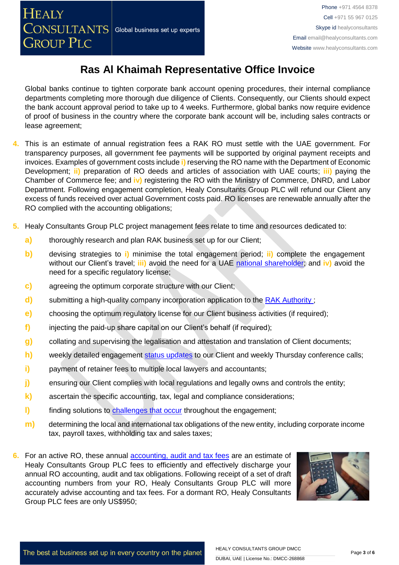Global banks continue to tighten corporate bank account opening procedures, their internal compliance departments completing more thorough due diligence of Clients. Consequently, our Clients should expect the bank account approval period to take up to 4 weeks. Furthermore, global banks now require evidence of proof of business in the country where the corporate bank account will be, including sales contracts or lease agreement;

- **4.** This is an estimate of annual registration fees a RAK RO must settle with the UAE government. For transparency purposes, all government fee payments will be supported by original payment receipts and invoices. Examples of government costs include **i)** reserving the RO name with the Department of Economic Development; **ii)** preparation of RO deeds and articles of association with UAE courts; **iii)** paying the Chamber of Commerce fee; and **iv)** registering the RO with the Ministry of Commerce, DNRD, and Labor Department. Following engagement completion, Healy Consultants Group PLC will refund our Client any excess of funds received over actual Government costs paid. RO licenses are renewable annually after the RO complied with the accounting obligations;
- **5.** Healy Consultants Group PLC project management fees relate to time and resources dedicated to:
	- **a)** thoroughly research and plan RAK business set up for our Client;
	- **b)** devising strategies to **i)** minimise the total engagement period; **ii)** complete the engagement without our Client's travel; **iii)** avoid the need for a UAE [national](http://www.healyconsultants.com/corporate-advisory-services/nominee-shareholders-directors/national-shareholder-services/) [shareholder;](http://www.healyconsultants.com/corporate-advisory-services/nominee-shareholders-directors/national-shareholder-services/) and **iv)** avoid the need for a specific regulatory license;
	- **c)** agreeing the optimum corporate structure with our Client;
	- **d)** submitting a high-quality company incorporation application to the RAK Authority;
	- **e)** choosing the optimum regulatory license for our Client business activities (if required);
	- **f)** injecting the paid-up share capital on our Client's behalf (if required);
	- **g)** collating and supervising the legalisation and attestation and translation of Client documents;
	- **h)** weekly detailed engagement [status updates](http://www.healyconsultants.com/index-important-links/weekly-engagement-status-email/) to our Client and weekly Thursday conference calls;
	- **i)** payment of retainer fees to multiple local lawyers and accountants;
	- **j)** ensuring our Client complies with local regulations and legally owns and controls the entity;
	- **k)** ascertain the specific accounting, tax, legal and compliance considerations;
	- **l)** finding solutions to [challenges that occur](http://www.healyconsultants.com/engagement-project-management/) throughout the engagement;
	- **m)** determining the local and international tax obligations of the new entity, including corporate income tax, payroll taxes, withholding tax and sales taxes;
- **6.** For an active RO, these annual [accounting, audit and tax](http://www.healyconsultants.com/uae-company-registration/accounting-legal/) fees are an estimate of Healy Consultants Group PLC fees to efficiently and effectively discharge your annual RO accounting, audit and tax obligations. Following receipt of a set of draft accounting numbers from your RO, Healy Consultants Group PLC will more accurately advise accounting and tax fees. For a dormant RO, Healy Consultants Group PLC fees are only US\$950;

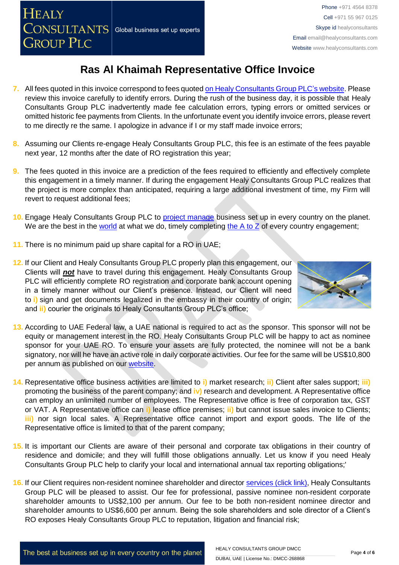- **7.** All fees quoted in this invoice correspond to fees quoted [on Healy Consultants Group PLC's](http://www.healyconsultants.com/company-registration-fees/) website. Please review this invoice carefully to identify errors. During the rush of the business day, it is possible that Healy Consultants Group PLC inadvertently made fee calculation errors, typing errors or omitted services or omitted historic fee payments from Clients. In the unfortunate event you identify invoice errors, please revert to me directly re the same. I apologize in advance if I or my staff made invoice errors;
- **8.** Assuming our Clients re-engage Healy Consultants Group PLC, this fee is an estimate of the fees payable next year, 12 months after the date of RO registration this year;
- **9.** The fees quoted in this invoice are a prediction of the fees required to efficiently and effectively complete this engagement in a timely manner. If during the engagement Healy Consultants Group PLC realizes that the project is more complex than anticipated, requiring a large additional investment of time, my Firm will revert to request additional fees;
- **10.** Engage Healy Consultants Group PLC to [project manage](http://www.healyconsultants.com/project-manage-engagements/) business set up in every country on the planet. We are the best in the [world](http://www.healyconsultants.com/best-in-the-world/) at what we do, timely completing the A to  $Z$  of every country engagement;
- **11.** There is no minimum paid up share capital for a RO in UAE;
- **12.** If our Client and Healy Consultants Group PLC properly plan this engagement, our Clients will *not* have to travel during this engagement. Healy Consultants Group PLC will efficiently complete RO registration and corporate bank account opening in a timely manner without our Client's presence. Instead, our Client will need to **i)** sign and get documents legalized in the embassy in their country of origin; and **ii)** courier the originals to Healy Consultants Group PLC's office;



- **13.** According to UAE Federal law, a UAE national is required to act as the sponsor. This sponsor will not be equity or management interest in the RO. Healy Consultants Group PLC will be happy to act as nominee sponsor for your UAE RO. To ensure your assets are fully protected, the nominee will not be a bank signatory, nor will he have an active role in daily corporate activities. Our fee for the same will be US\$10,800 per annum as published on our [website.](http://www.healyconsultants.com/ras-al-khaimah-free-zone/)
- **14.** Representative office business activities are limited to **i)** market research; **ii)** Client after sales support; **iii)** promoting the business of the parent company; and **iv)** research and development. A Representative office can employ an unlimited number of employees. The Representative office is free of corporation tax, GST or VAT. A Representative office can **i)** lease office premises; **ii)** but cannot issue sales invoice to Clients; **iii)** nor sign local sales. A Representative office cannot import and export goods. The life of the Representative office is limited to that of the parent company;
- **15.** It is important our Clients are aware of their personal and corporate tax obligations in their country of residence and domicile; and they will fulfill those obligations annually. Let us know if you need Healy Consultants Group PLC help to clarify your local and international annual tax reporting obligations;'
- **16.** If our Client requires non-resident nominee shareholder and director [services \(click link\),](http://www.healyconsultants.com/corporate-outsourcing-services/nominee-shareholders-directors/) Healy Consultants Group PLC will be pleased to assist. Our fee for professional, passive nominee non-resident corporate shareholder amounts to US\$2,100 per annum. Our fee to be both non-resident nominee director and shareholder amounts to US\$6,600 per annum. Being the sole shareholders and sole director of a Client's RO exposes Healy Consultants Group PLC to reputation, litigation and financial risk;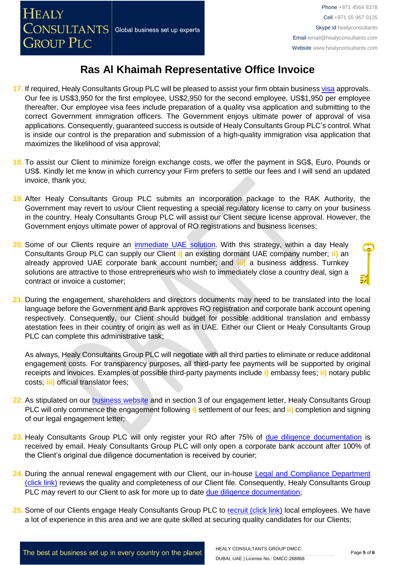- **17.** If required, Healy Consultants Group PLC will be pleased to assist your firm obtain business [visa](http://www.healyconsultants.com/uae-company-registration/employment-visas/) approvals. Our fee is US\$3,950 for the first employee, US\$2,950 for the second employee, US\$1,950 per employee thereafter. Our employee visa fees include preparation of a quality visa application and submitting to the correct Government immigration officers. The Government enjoys ultimate power of approval of visa applications. Consequently, guaranteed success is outside of Healy Consultants Group PLC's control. What is inside our control is the preparation and submission of a high-quality immigration visa application that maximizes the likelihood of visa approval;
- **18.** To assist our Client to minimize foreign exchange costs, we offer the payment in SG\$, Euro, Pounds or US\$. Kindly let me know in which currency your Firm prefers to settle our fees and I will send an updated invoice, thank you;
- **19.** After Healy Consultants Group PLC submits an incorporation package to the RAK Authority, the Government may revert to us/our Client requesting a special regulatory license to carry on your business in the country. Healy Consultants Group PLC will assist our Client secure license approval. However, the Government enjoys ultimate power of approval of RO registrations and business licenses;
- **20.** Some of our Clients require an [immediate UAE](http://www.healyconsultants.com/turnkey-solutions/) solution. With this strategy, within a day Healy Consultants Group PLC can supply our Client **i)** an existing dormant UAE company number; **ii)** an already approved UAE corporate bank account number; and **iii)** a business address. Turnkey solutions are attractive to those entrepreneurs who wish to immediately close a country deal, sign a contract or invoice a customer;
- **21.** During the engagement, shareholders and directors documents may need to be translated into the local language before the Government and Bank approves RO registration and corporate bank account opening respectively. Consequently, our Client should budget for possible additional translation and embassy atestation fees in their country of origin as well as in UAE. Either our Client or Healy Consultants Group PLC can complete this administrative task;

As always, Healy Consultants Group PLC will negotiate with all third parties to eliminate or reduce additonal engagement costs. For transparency purposes, all third-party fee payments will be supported by original receipts and invoices. Examples of possible third-party payments include **i)** embassy fees; **ii)** notary public costs; **iii)** official translator fees;

- **22.** As stipulated on our [business website](http://www.healyconsultants.com/) and in section 3 of our engagement letter, Healy Consultants Group PLC will only commence the engagement following **i)** settlement of our fees; and **ii)** completion and signing of our legal engagement letter;
- **23.** Healy Consultants Group PLC will only register your RO after 75% of [due diligence documentation](http://www.healyconsultants.com/due-diligence/) is received by email. Healy Consultants Group PLC will only open a corporate bank account after 100% of the Client's original due diligence documentation is received by courier;
- **24.** During the annual renewal engagement with our Client, our in-house [Legal and Compliance Department](http://www.healyconsultants.com/about-us/key-personnel/cai-xin-profile/)  [\(click link\)](http://www.healyconsultants.com/about-us/key-personnel/cai-xin-profile/) reviews the quality and completeness of our Client file. Consequently, Healy Consultants Group PLC may revert to our Client to ask for more up to date [due diligence documentation;](http://www.healyconsultants.com/due-diligence/)
- **25.** Some of our Clients engage Healy Consultants Group PLC to [recruit \(click link\)](http://www.healyconsultants.com/corporate-outsourcing-services/how-we-help-our-clients-recruit-quality-employees/) local employees. We have a lot of experience in this area and we are quite skilled at securing quality candidates for our Clients;